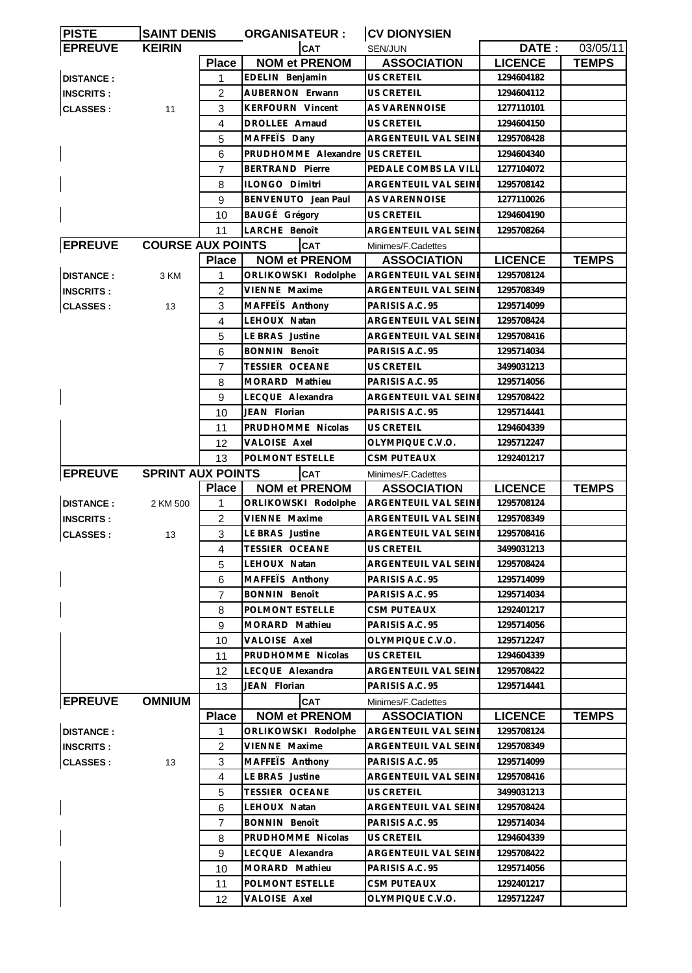| <b>PISTE</b>     | <b>SAINT DENIS</b>       |                | <b>ORGANISATEUR:</b>    | <b>CV DIONYSIEN</b>                      |                |              |
|------------------|--------------------------|----------------|-------------------------|------------------------------------------|----------------|--------------|
| <b>EPREUVE</b>   | <b>KEIRIN</b>            |                | <b>CAT</b>              | <b>SEN/JUN</b>                           | DATE:          | 03/05/11     |
|                  |                          | <b>Place</b>   | <b>NOM et PRENOM</b>    | <b>ASSOCIATION</b>                       | <b>LICENCE</b> | <b>TEMPS</b> |
| <b>DISTANCE:</b> |                          | 1              | EDELIN Benjamin         | <b>US CRETEIL</b>                        | 1294604182     |              |
| <b>INSCRITS:</b> |                          | 2              | AUBERNON Erwann         | US CRETEIL                               | 1294604112     |              |
| <b>CLASSES:</b>  | 11                       | 3              | <b>KERFOURN Vincent</b> | <b>AS VARENNOISE</b>                     | 1277110101     |              |
|                  |                          | 4              | DROLLEE Arnaud          | <b>US CRETEIL</b>                        | 1294604150     |              |
|                  |                          | 5              | MAFFETS Dany            | ARGENTEUIL VAL SEINE                     | 1295708428     |              |
|                  |                          | 6              | PRUDHOMME Alexandre     | <b>US CRETEIL</b>                        | 1294604340     |              |
|                  |                          | 7              | <b>BERTRAND Pierre</b>  | PEDALE COMBS LA VILL                     | 1277104072     |              |
|                  |                          | 8              | ILONGO Dimitri          | ARGENTEUIL VAL SEINE                     | 1295708142     |              |
|                  |                          | 9              | BENVENUTO Jean Paul     | <b>AS VARENNOISE</b>                     | 1277110026     |              |
|                  |                          | 10             | BAUGÉ Grégory           | US CRETEIL                               | 1294604190     |              |
|                  |                          | 11             | LARCHE Benoît           | ARGENTEUIL VAL SEINE                     | 1295708264     |              |
| <b>EPREUVE</b>   | <b>COURSE AUX POINTS</b> |                | <b>CAT</b>              | Minimes/F.Cadettes                       |                |              |
|                  |                          | <b>Place</b>   | <b>NOM et PRENOM</b>    | <b>ASSOCIATION</b>                       | <b>LICENCE</b> | <b>TEMPS</b> |
| <b>DISTANCE:</b> | 3 KM                     | 1              | ORLIKOWSKI Rodolphe     | <b>ARGENTEUIL VAL SEINE</b>              | 1295708124     |              |
| <b>INSCRITS:</b> |                          | 2              | VIENNE Maxime           | ARGENTEUIL VAL SEINE                     | 1295708349     |              |
| <b>CLASSES:</b>  | 13                       | 3              | MAFFETS Anthony         | PARISIS A.C. 95                          | 1295714099     |              |
|                  |                          | 4              | LEHOUX Natan            | ARGENTEUIL VAL SEINE                     | 1295708424     |              |
|                  |                          | 5              | LE BRAS Justine         | ARGENTEUIL VAL SEINE                     | 1295708416     |              |
|                  |                          | 6              | <b>BONNIN Benoît</b>    | PARISIS A.C. 95                          | 1295714034     |              |
|                  |                          | 7              | <b>TESSIER OCEANE</b>   | US CRETEIL                               | 3499031213     |              |
|                  |                          | 8              | MORARD Mathieu          | PARISIS A.C. 95                          | 1295714056     |              |
|                  |                          | 9              | LECQUE Alexandra        | ARGENTEUIL VAL SEINE                     | 1295708422     |              |
|                  |                          | 10             | JEAN Florian            | PARISIS A.C. 95                          | 1295714441     |              |
|                  |                          | 11             | PRUDHOMME Nicolas       | <b>US CRETEIL</b>                        | 1294604339     |              |
|                  |                          | 12             | VALOISE Axel            | OLYMPIQUE C.V.O.                         | 1295712247     |              |
|                  |                          | 13             | POLMONT ESTELLE         | <b>CSM PUTEAUX</b>                       | 1292401217     |              |
| <b>EPREUVE</b>   | <b>SPRINT AUX POINTS</b> |                | <b>CAT</b>              |                                          |                |              |
|                  |                          | <b>Place</b>   | <b>NOM et PRENOM</b>    | Minimes/F.Cadettes<br><b>ASSOCIATION</b> | <b>LICENCE</b> | <b>TEMPS</b> |
| <b>DISTANCE:</b> | 2 KM 500                 | 1              | ORLIKOWSKI Rodolphe     | ARGENTEUIL VAL SEINE                     | 1295708124     |              |
| <b>INSCRITS:</b> |                          | $\overline{2}$ | VIENNE Maxime           | <b>ARGENTEUIL VAL SEINE</b>              | 1295708349     |              |
| <b>CLASSES:</b>  | 13                       | 3              | LE BRAS Justine         | <b>ARGENTEUIL VAL SEINE</b>              | 1295708416     |              |
|                  |                          | 4              | TESSIER OCEANE          | US CRETEIL                               | 3499031213     |              |
|                  |                          | 5              | LEHOUX Natan            | ARGENTEUIL VAL SEINI                     | 1295708424     |              |
|                  |                          |                | MAFFETS Anthony         | PARISIS A.C. 95                          | 1295714099     |              |
|                  |                          | 6<br>7         | <b>BONNIN Benoît</b>    | PARISIS A.C. 95                          | 1295714034     |              |
|                  |                          | 8              | POLMONT ESTELLE         | CSM PUTEAUX                              | 1292401217     |              |
|                  |                          | 9              | MORARD Mathieu          | PARISIS A.C. 95                          |                |              |
|                  |                          |                | VALOISE Axel            |                                          | 1295714056     |              |
|                  |                          | 10             | PRUDHOMME Nicolas       | OLYMPIQUE C.V.O.<br>US CRETEIL           | 1295712247     |              |
|                  |                          | 11             |                         | ARGENTEUIL VAL SEINE                     | 1294604339     |              |
|                  |                          | 12             | LECQUE Alexandra        |                                          | 1295708422     |              |
|                  | <b>OMNIUM</b>            | 13             | JEAN Florian            | PARISIS A.C. 95                          | 1295714441     |              |
| <b>EPREUVE</b>   |                          |                | <b>CAT</b>              | Minimes/F.Cadettes                       |                |              |
|                  |                          | <b>Place</b>   | <b>NOM et PRENOM</b>    | <b>ASSOCIATION</b>                       | <b>LICENCE</b> | <b>TEMPS</b> |
| <b>DISTANCE:</b> |                          | 1              | ORLIKOWSKI Rodolphe     | ARGENTEUIL VAL SEINE                     | 1295708124     |              |
| <b>INSCRITS:</b> |                          | 2              | VIENNE Maxime           | ARGENTEUIL VAL SEINE                     | 1295708349     |              |
| <b>CLASSES:</b>  | 13                       | 3              | MAFFETS Anthony         | PARISIS A.C. 95                          | 1295714099     |              |
|                  |                          | 4              | LE BRAS Justine         | ARGENTEUIL VAL SEINE                     | 1295708416     |              |
|                  |                          | 5              | TESSIER OCEANE          | US CRETEIL                               | 3499031213     |              |
|                  |                          | 6              | LEHOUX Natan            | ARGENTEUIL VAL SEINI                     | 1295708424     |              |
|                  |                          | 7              | BONNIN Benoît           | PARISIS A.C. 95                          | 1295714034     |              |
|                  |                          | 8              | PRUDHOMME Nicolas       | US CRETEIL                               | 1294604339     |              |
|                  |                          | 9              | LECQUE Alexandra        | <b>ARGENTEUIL VAL SEINE</b>              | 1295708422     |              |
|                  |                          | 10             | MORARD Mathieu          | PARISIS A.C. 95                          | 1295714056     |              |
|                  |                          | 11             | POLMONT ESTELLE         | CSM PUTEAUX                              | 1292401217     |              |
|                  |                          | 12             | VALOISE Axel            | OLYMPIQUE C.V.O.                         | 1295712247     |              |